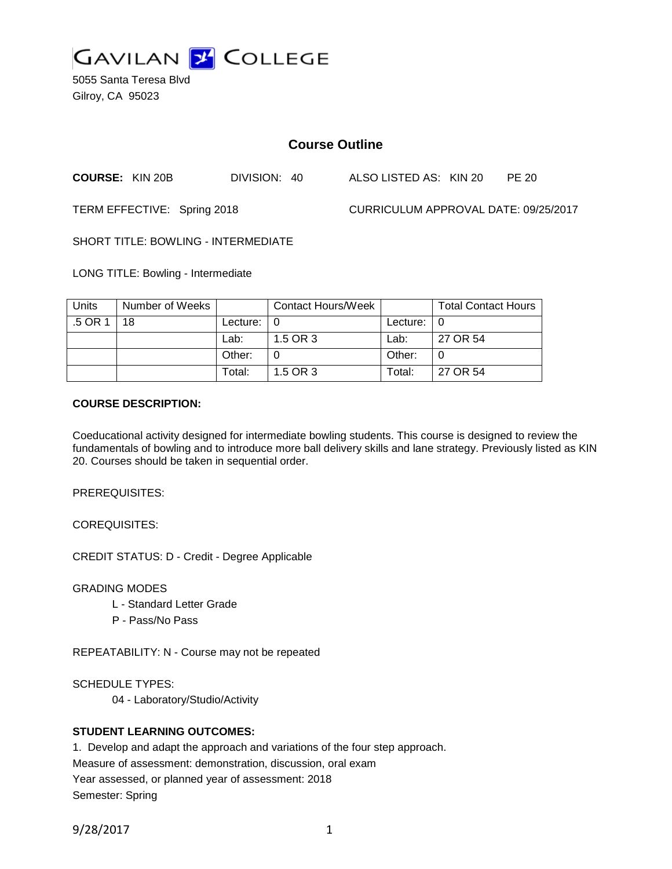

5055 Santa Teresa Blvd Gilroy, CA 95023

# **Course Outline**

**COURSE:** KIN 20B DIVISION: 40 ALSO LISTED AS: KIN 20 PE 20

TERM EFFECTIVE: Spring 2018 CURRICULUM APPROVAL DATE: 09/25/2017

SHORT TITLE: BOWLING - INTERMEDIATE

LONG TITLE: Bowling - Intermediate

| <b>Units</b> | Number of Weeks |                            | <b>Contact Hours/Week</b> |               | <b>Total Contact Hours</b> |
|--------------|-----------------|----------------------------|---------------------------|---------------|----------------------------|
| .5 OR 1      | 18              | Lecture: $\vert 0 \rangle$ |                           | Lecture: $ 0$ |                            |
|              |                 | Lab:                       | 1.5 OR 3                  | Lab:          | 27 OR 54                   |
|              |                 | Other:                     |                           | Other:        |                            |
|              |                 | Total:                     | 1.5 OR 3                  | Total:        | 27 OR 54                   |

#### **COURSE DESCRIPTION:**

Coeducational activity designed for intermediate bowling students. This course is designed to review the fundamentals of bowling and to introduce more ball delivery skills and lane strategy. Previously listed as KIN 20. Courses should be taken in sequential order.

PREREQUISITES:

COREQUISITES:

CREDIT STATUS: D - Credit - Degree Applicable

GRADING MODES

- L Standard Letter Grade
- P Pass/No Pass

REPEATABILITY: N - Course may not be repeated

SCHEDULE TYPES:

04 - Laboratory/Studio/Activity

## **STUDENT LEARNING OUTCOMES:**

1. Develop and adapt the approach and variations of the four step approach. Measure of assessment: demonstration, discussion, oral exam Year assessed, or planned year of assessment: 2018 Semester: Spring

9/28/2017 1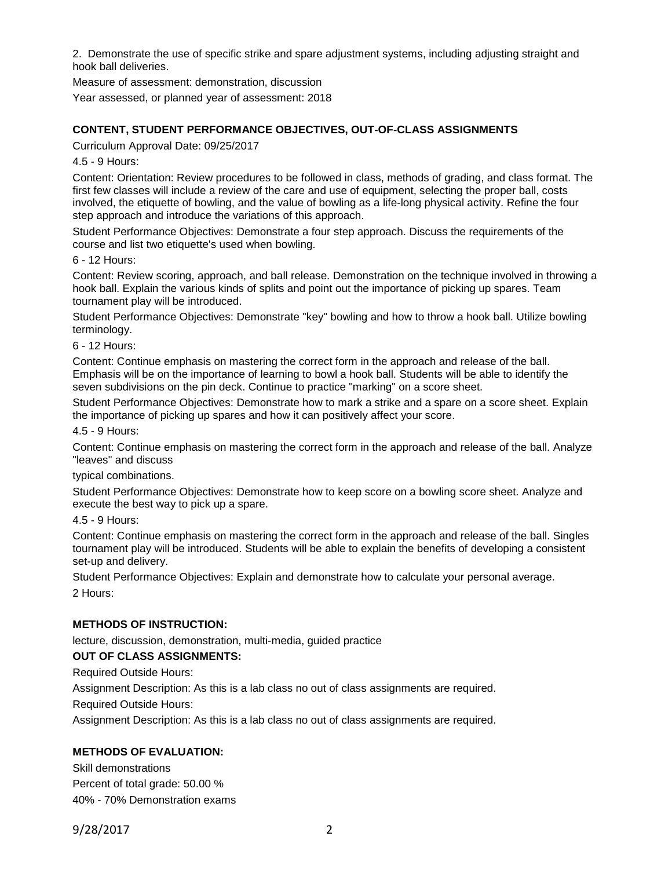2. Demonstrate the use of specific strike and spare adjustment systems, including adjusting straight and hook ball deliveries.

Measure of assessment: demonstration, discussion

Year assessed, or planned year of assessment: 2018

## **CONTENT, STUDENT PERFORMANCE OBJECTIVES, OUT-OF-CLASS ASSIGNMENTS**

Curriculum Approval Date: 09/25/2017

4.5 - 9 Hours:

Content: Orientation: Review procedures to be followed in class, methods of grading, and class format. The first few classes will include a review of the care and use of equipment, selecting the proper ball, costs involved, the etiquette of bowling, and the value of bowling as a life-long physical activity. Refine the four step approach and introduce the variations of this approach.

Student Performance Objectives: Demonstrate a four step approach. Discuss the requirements of the course and list two etiquette's used when bowling.

6 - 12 Hours:

Content: Review scoring, approach, and ball release. Demonstration on the technique involved in throwing a hook ball. Explain the various kinds of splits and point out the importance of picking up spares. Team tournament play will be introduced.

Student Performance Objectives: Demonstrate "key" bowling and how to throw a hook ball. Utilize bowling terminology.

6 - 12 Hours:

Content: Continue emphasis on mastering the correct form in the approach and release of the ball. Emphasis will be on the importance of learning to bowl a hook ball. Students will be able to identify the seven subdivisions on the pin deck. Continue to practice "marking" on a score sheet.

Student Performance Objectives: Demonstrate how to mark a strike and a spare on a score sheet. Explain the importance of picking up spares and how it can positively affect your score.

4.5 - 9 Hours:

Content: Continue emphasis on mastering the correct form in the approach and release of the ball. Analyze "leaves" and discuss

typical combinations.

Student Performance Objectives: Demonstrate how to keep score on a bowling score sheet. Analyze and execute the best way to pick up a spare.

4.5 - 9 Hours:

Content: Continue emphasis on mastering the correct form in the approach and release of the ball. Singles tournament play will be introduced. Students will be able to explain the benefits of developing a consistent set-up and delivery.

Student Performance Objectives: Explain and demonstrate how to calculate your personal average. 2 Hours:

## **METHODS OF INSTRUCTION:**

lecture, discussion, demonstration, multi-media, guided practice

## **OUT OF CLASS ASSIGNMENTS:**

Required Outside Hours:

Assignment Description: As this is a lab class no out of class assignments are required.

Required Outside Hours:

Assignment Description: As this is a lab class no out of class assignments are required.

## **METHODS OF EVALUATION:**

Skill demonstrations Percent of total grade: 50.00 % 40% - 70% Demonstration exams

9/28/2017 2